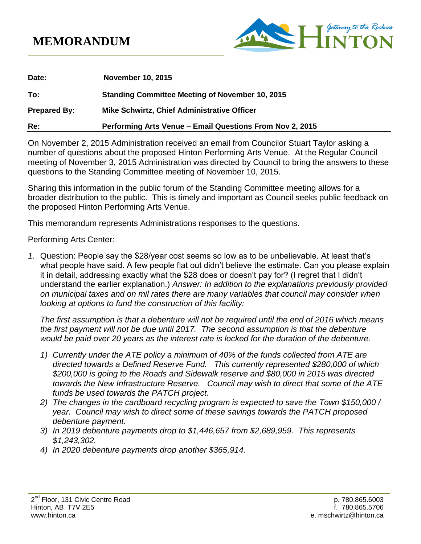## **MEMORANDUM**



| Date:               | <b>November 10, 2015</b>                                 |
|---------------------|----------------------------------------------------------|
| To:                 | <b>Standing Committee Meeting of November 10, 2015</b>   |
| <b>Prepared By:</b> | <b>Mike Schwirtz, Chief Administrative Officer</b>       |
| Re:                 | Performing Arts Venue - Email Questions From Nov 2, 2015 |

On November 2, 2015 Administration received an email from Councilor Stuart Taylor asking a number of questions about the proposed Hinton Performing Arts Venue. At the Regular Council meeting of November 3, 2015 Administration was directed by Council to bring the answers to these questions to the Standing Committee meeting of November 10, 2015.

Sharing this information in the public forum of the Standing Committee meeting allows for a broader distribution to the public. This is timely and important as Council seeks public feedback on the proposed Hinton Performing Arts Venue.

This memorandum represents Administrations responses to the questions.

Performing Arts Center:

*1.* Question: People say the \$28/year cost seems so low as to be unbelievable. At least that's what people have said. A few people flat out didn't believe the estimate. Can you please explain it in detail, addressing exactly what the \$28 does or doesn't pay for? (I regret that I didn't understand the earlier explanation.) *Answer: In addition to the explanations previously provided on municipal taxes and on mil rates there are many variables that council may consider when looking at options to fund the construction of this facility:*

*The first assumption is that a debenture will not be required until the end of 2016 which means the first payment will not be due until 2017. The second assumption is that the debenture would be paid over 20 years as the interest rate is locked for the duration of the debenture.*

- *1) Currently under the ATE policy a minimum of 40% of the funds collected from ATE are directed towards a Defined Reserve Fund. This currently represented \$280,000 of which \$200,000 is going to the Roads and Sidewalk reserve and \$80,000 in 2015 was directed towards the New Infrastructure Reserve. Council may wish to direct that some of the ATE funds be used towards the PATCH project.*
- *2) The changes in the cardboard recycling program is expected to save the Town \$150,000 / year. Council may wish to direct some of these savings towards the PATCH proposed debenture payment.*
- *3) In 2019 debenture payments drop to \$1,446,657 from \$2,689,959. This represents \$1,243,302.*
- *4) In 2020 debenture payments drop another \$365,914.*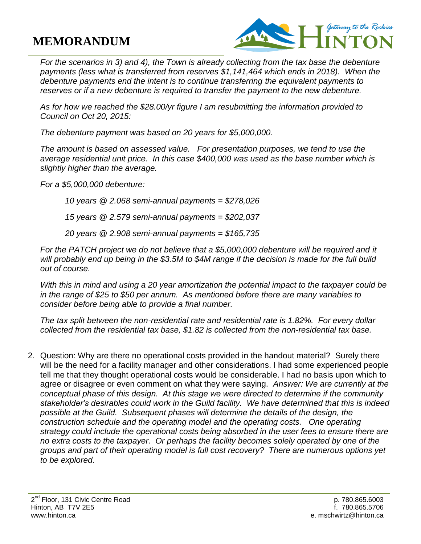## **MEMORANDUM**



*For the scenarios in 3) and 4), the Town is already collecting from the tax base the debenture payments (less what is transferred from reserves \$1,141,464 which ends in 2018). When the debenture payments end the intent is to continue transferring the equivalent payments to reserves or if a new debenture is required to transfer the payment to the new debenture.*

*As for how we reached the \$28.00/yr figure I am resubmitting the information provided to Council on Oct 20, 2015:*

*The debenture payment was based on 20 years for \$5,000,000.*

*The amount is based on assessed value. For presentation purposes, we tend to use the average residential unit price. In this case \$400,000 was used as the base number which is slightly higher than the average.*

*For a \$5,000,000 debenture:*

*10 years @ 2.068 semi-annual payments = \$278,026*

*15 years @ 2.579 semi-annual payments = \$202,037*

*20 years @ 2.908 semi-annual payments = \$165,735*

*For the PATCH project we do not believe that a \$5,000,000 debenture will be required and it will probably end up being in the \$3.5M to \$4M range if the decision is made for the full build out of course.* 

*With this in mind and using a 20 year amortization the potential impact to the taxpayer could be in the range of \$25 to \$50 per annum. As mentioned before there are many variables to consider before being able to provide a final number.*

*The tax split between the non-residential rate and residential rate is 1.82%. For every dollar collected from the residential tax base, \$1.82 is collected from the non-residential tax base.* 

2. Question: Why are there no operational costs provided in the handout material? Surely there will be the need for a facility manager and other considerations. I had some experienced people tell me that they thought operational costs would be considerable. I had no basis upon which to agree or disagree or even comment on what they were saying. *Answer: We are currently at the conceptual phase of this design. At this stage we were directed to determine if the community stakeholder's desirables could work in the Guild facility. We have determined that this is indeed possible at the Guild. Subsequent phases will determine the details of the design, the construction schedule and the operating model and the operating costs. One operating strategy could include the operational costs being absorbed in the user fees to ensure there are no extra costs to the taxpayer. Or perhaps the facility becomes solely operated by one of the groups and part of their operating model is full cost recovery? There are numerous options yet to be explored.*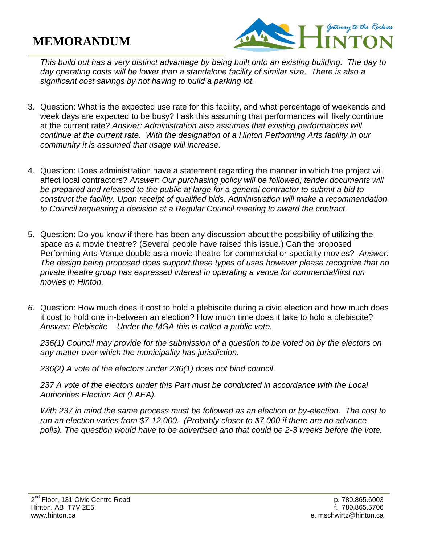## **MEMORANDUM**



*This build out has a very distinct advantage by being built onto an existing building. The day to day operating costs will be lower than a standalone facility of similar size. There is also a significant cost savings by not having to build a parking lot.*

- 3. Question: What is the expected use rate for this facility, and what percentage of weekends and week days are expected to be busy? I ask this assuming that performances will likely continue at the current rate? *Answer: Administration also assumes that existing performances will continue at the current rate. With the designation of a Hinton Performing Arts facility in our community it is assumed that usage will increase.*
- 4. Question: Does administration have a statement regarding the manner in which the project will affect local contractors? *Answer: Our purchasing policy will be followed; tender documents will*  be prepared and released to the public at large for a general contractor to submit a bid to *construct the facility. Upon receipt of qualified bids, Administration will make a recommendation to Council requesting a decision at a Regular Council meeting to award the contract.*
- 5. Question: Do you know if there has been any discussion about the possibility of utilizing the space as a movie theatre? (Several people have raised this issue.) Can the proposed Performing Arts Venue double as a movie theatre for commercial or specialty movies? *Answer: The design being proposed does support these types of uses however please recognize that no private theatre group has expressed interest in operating a venue for commercial/first run movies in Hinton.*
- *6.* Question: How much does it cost to hold a plebiscite during a civic election and how much does it cost to hold one in-between an election? How much time does it take to hold a plebiscite? *Answer: Plebiscite – Under the MGA this is called a public vote.*

*236(1) Council may provide for the submission of a question to be voted on by the electors on any matter over which the municipality has jurisdiction.*

*236(2) A vote of the electors under 236(1) does not bind council.*

*237 A vote of the electors under this Part must be conducted in accordance with the Local Authorities Election Act (LAEA).*

*With 237 in mind the same process must be followed as an election or by-election. The cost to run an election varies from \$7-12,000. (Probably closer to \$7,000 if there are no advance polls). The question would have to be advertised and that could be 2-3 weeks before the vote.*